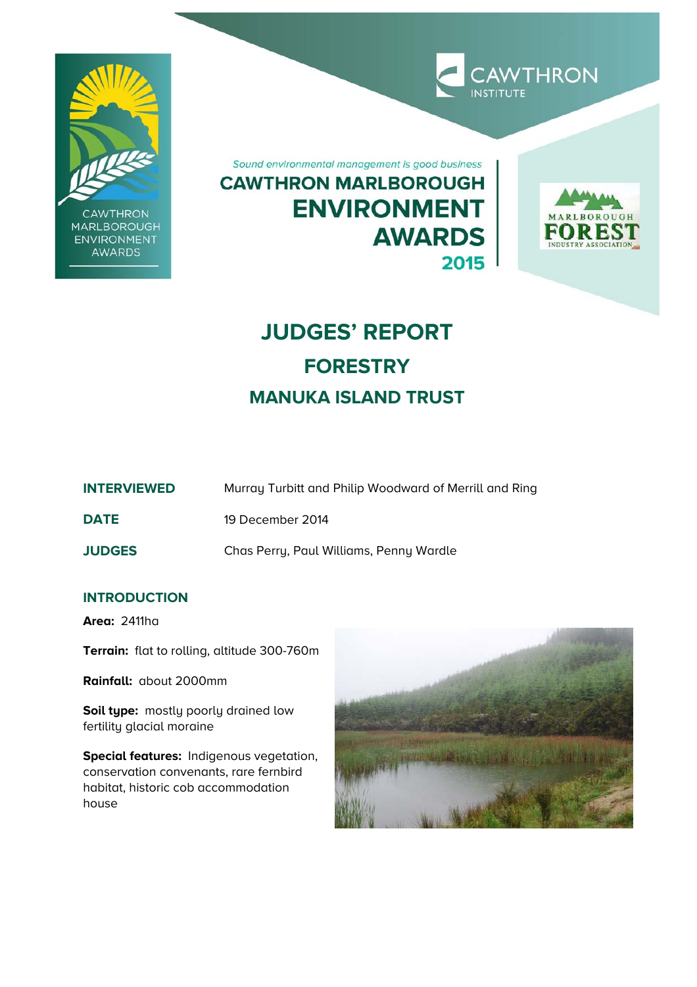

**CAWTHRON** MARLBOROUGH **ENVIRONMENT AWARDS** 

Sound environmental management is good business **CAWTHRON MARLBOROUGH ENVIRONMENT AWARDS** 2015



**CAWTHRON** 

# **JUDGES' REPORT FORESTRY MANUKA ISLAND TRUST**

| <b>INTERVIEWED</b> | Murray Turbitt and Philip Woodward of Merrill and Ring |
|--------------------|--------------------------------------------------------|
|--------------------|--------------------------------------------------------|

**DATE** 19 December 2014

**JUDGES** Chas Perry, Paul Williams, Penny Wardle

## **INTRODUCTION**

**Area:** 2411ha

**Terrain:** flat to rolling, altitude 300-760m

**Rainfall:** about 2000mm

**Soil type:** mostly poorly drained low fertility glacial moraine

**Special features:** Indigenous vegetation, conservation convenants, rare fernbird habitat, historic cob accommodation house

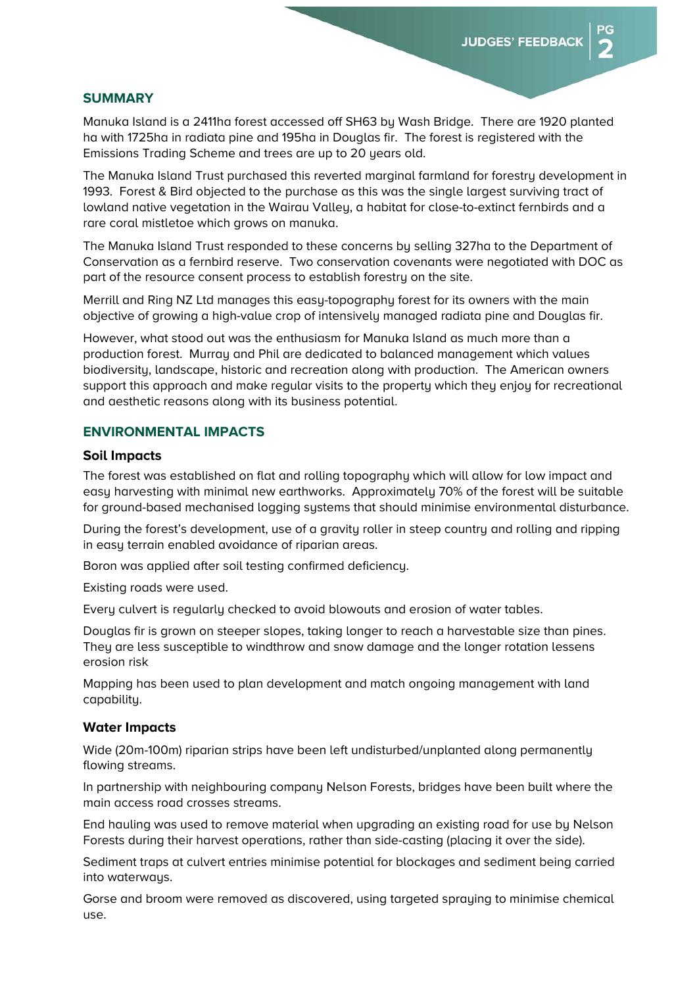#### **SUMMARY**

Manuka Island is a 2411ha forest accessed off SH63 by Wash Bridge. There are 1920 planted ha with 1725ha in radiata pine and 195ha in Douglas fir. The forest is registered with the Emissions Trading Scheme and trees are up to 20 years old.

The Manuka Island Trust purchased this reverted marginal farmland for forestry development in 1993. Forest & Bird objected to the purchase as this was the single largest surviving tract of lowland native vegetation in the Wairau Valley, a habitat for close-to-extinct fernbirds and a rare coral mistletoe which grows on manuka.

The Manuka Island Trust responded to these concerns by selling 327ha to the Department of Conservation as a fernbird reserve. Two conservation covenants were negotiated with DOC as part of the resource consent process to establish forestry on the site.

Merrill and Ring NZ Ltd manages this easy-topography forest for its owners with the main objective of growing a high-value crop of intensively managed radiata pine and Douglas fir.

However, what stood out was the enthusiasm for Manuka Island as much more than a production forest. Murray and Phil are dedicated to balanced management which values biodiversity, landscape, historic and recreation along with production. The American owners support this approach and make regular visits to the property which they enjoy for recreational and aesthetic reasons along with its business potential.

#### **ENVIRONMENTAL IMPACTS**

#### **Soil Impacts**

The forest was established on flat and rolling topography which will allow for low impact and easy harvesting with minimal new earthworks. Approximately 70% of the forest will be suitable for ground-based mechanised logging systems that should minimise environmental disturbance.

During the forest's development, use of a gravity roller in steep country and rolling and ripping in easy terrain enabled avoidance of riparian areas.

Boron was applied after soil testing confirmed deficiency.

Existing roads were used.

Every culvert is regularly checked to avoid blowouts and erosion of water tables.

Douglas fir is grown on steeper slopes, taking longer to reach a harvestable size than pines. They are less susceptible to windthrow and snow damage and the longer rotation lessens erosion risk

Mapping has been used to plan development and match ongoing management with land capability.

#### **Water Impacts**

Wide (20m-100m) riparian strips have been left undisturbed/unplanted along permanently flowing streams.

In partnership with neighbouring company Nelson Forests, bridges have been built where the main access road crosses streams.

End hauling was used to remove material when upgrading an existing road for use by Nelson Forests during their harvest operations, rather than side-casting (placing it over the side).

Sediment traps at culvert entries minimise potential for blockages and sediment being carried into waterways.

Gorse and broom were removed as discovered, using targeted spraying to minimise chemical use.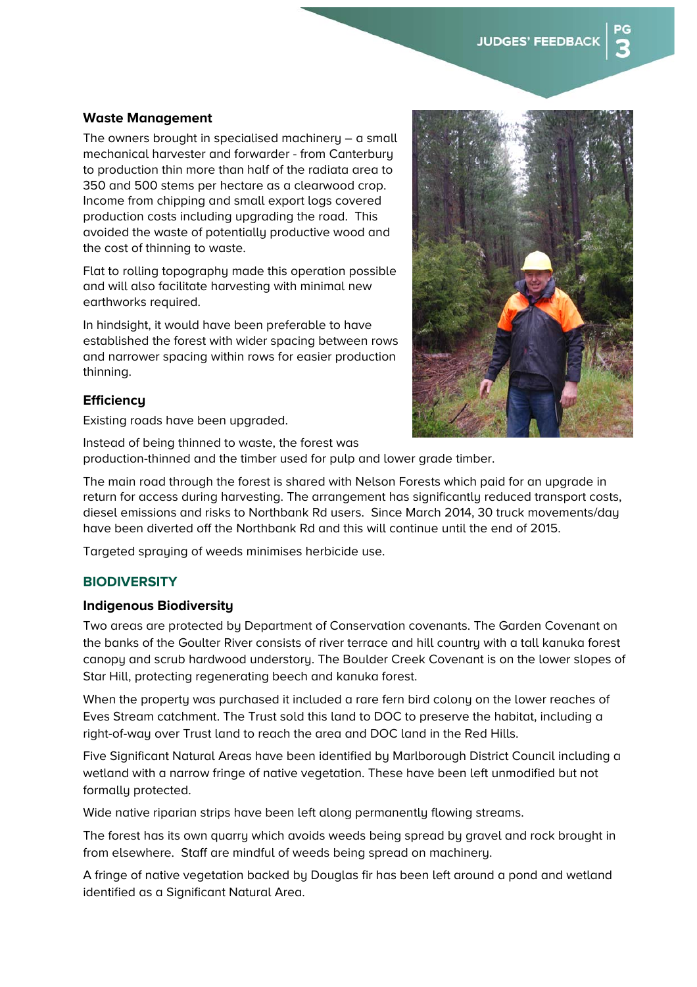## **Waste Management**

The owners brought in specialised machinery – a small mechanical harvester and forwarder - from Canterbury to production thin more than half of the radiata area to 350 and 500 stems per hectare as a clearwood crop. Income from chipping and small export logs covered production costs including upgrading the road. This avoided the waste of potentially productive wood and the cost of thinning to waste.

Flat to rolling topography made this operation possible and will also facilitate harvesting with minimal new earthworks required.

In hindsight, it would have been preferable to have established the forest with wider spacing between rows and narrower spacing within rows for easier production thinning.

#### **Efficiency**

Existing roads have been upgraded.



Instead of being thinned to waste, the forest was production-thinned and the timber used for pulp and lower grade timber.

The main road through the forest is shared with Nelson Forests which paid for an upgrade in return for access during harvesting. The arrangement has significantly reduced transport costs, diesel emissions and risks to Northbank Rd users. Since March 2014, 30 truck movements/day have been diverted off the Northbank Rd and this will continue until the end of 2015.

Targeted spraying of weeds minimises herbicide use.

## **BIODIVERSITY**

#### **Indigenous Biodiversity**

Two areas are protected by Department of Conservation covenants. The Garden Covenant on the banks of the Goulter River consists of river terrace and hill country with a tall kanuka forest canopy and scrub hardwood understory. The Boulder Creek Covenant is on the lower slopes of Star Hill, protecting regenerating beech and kanuka forest.

When the property was purchased it included a rare fern bird colony on the lower reaches of Eves Stream catchment. The Trust sold this land to DOC to preserve the habitat, including a right-of-way over Trust land to reach the area and DOC land in the Red Hills.

Five Significant Natural Areas have been identified by Marlborough District Council including a wetland with a narrow fringe of native vegetation. These have been left unmodified but not formally protected.

Wide native riparian strips have been left along permanently flowing streams.

The forest has its own quarry which avoids weeds being spread by gravel and rock brought in from elsewhere. Staff are mindful of weeds being spread on machinery.

A fringe of native vegetation backed by Douglas fir has been left around a pond and wetland identified as a Significant Natural Area.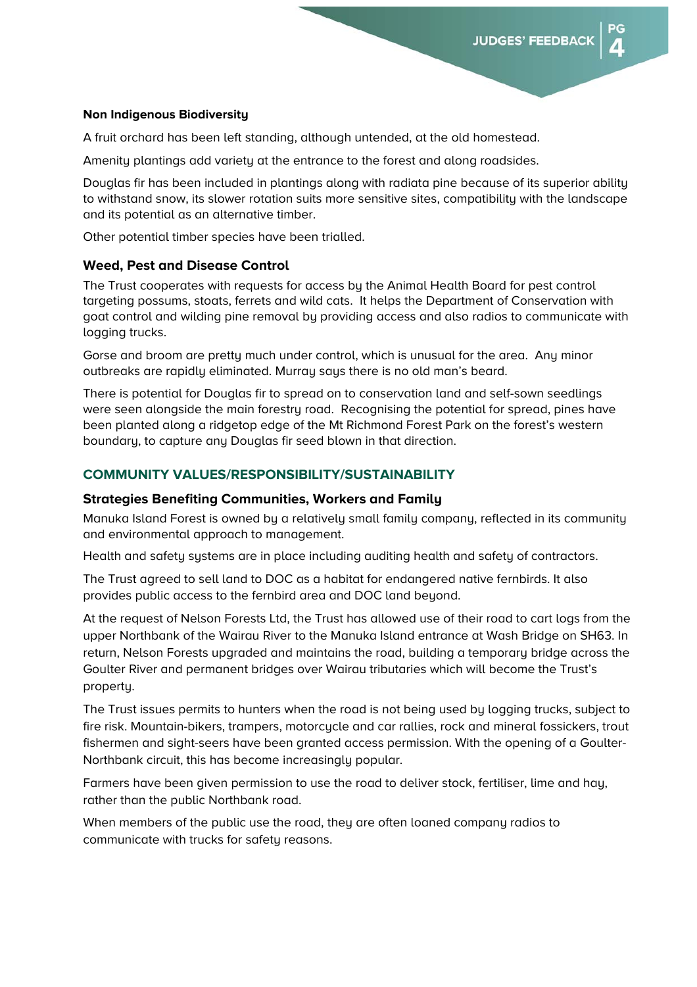#### **Non Indigenous Biodiversity**

A fruit orchard has been left standing, although untended, at the old homestead.

Amenity plantings add variety at the entrance to the forest and along roadsides.

Douglas fir has been included in plantings along with radiata pine because of its superior ability to withstand snow, its slower rotation suits more sensitive sites, compatibility with the landscape and its potential as an alternative timber.

Other potential timber species have been trialled.

#### **Weed, Pest and Disease Control**

The Trust cooperates with requests for access by the Animal Health Board for pest control targeting possums, stoats, ferrets and wild cats. It helps the Department of Conservation with goat control and wilding pine removal by providing access and also radios to communicate with logging trucks.

Gorse and broom are pretty much under control, which is unusual for the area. Any minor outbreaks are rapidly eliminated. Murray says there is no old man's beard.

There is potential for Douglas fir to spread on to conservation land and self-sown seedlings were seen alongside the main forestry road. Recognising the potential for spread, pines have been planted along a ridgetop edge of the Mt Richmond Forest Park on the forest's western boundary, to capture any Douglas fir seed blown in that direction.

## **COMMUNITY VALUES/RESPONSIBILITY/SUSTAINABILITY**

#### **Strategies Benefiting Communities, Workers and Family**

Manuka Island Forest is owned by a relatively small family company, reflected in its community and environmental approach to management.

Health and safety systems are in place including auditing health and safety of contractors.

The Trust agreed to sell land to DOC as a habitat for endangered native fernbirds. It also provides public access to the fernbird area and DOC land beyond.

At the request of Nelson Forests Ltd, the Trust has allowed use of their road to cart logs from the upper Northbank of the Wairau River to the Manuka Island entrance at Wash Bridge on SH63. In return, Nelson Forests upgraded and maintains the road, building a temporary bridge across the Goulter River and permanent bridges over Wairau tributaries which will become the Trust's property.

The Trust issues permits to hunters when the road is not being used by logging trucks, subject to fire risk. Mountain-bikers, trampers, motorcycle and car rallies, rock and mineral fossickers, trout fishermen and sight-seers have been granted access permission. With the opening of a Goulter-Northbank circuit, this has become increasingly popular.

Farmers have been given permission to use the road to deliver stock, fertiliser, lime and hay, rather than the public Northbank road.

When members of the public use the road, they are often loaned company radios to communicate with trucks for safety reasons.